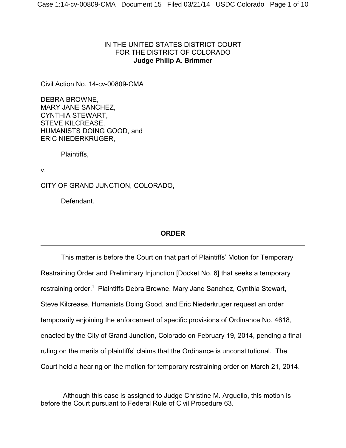## IN THE UNITED STATES DISTRICT COURT FOR THE DISTRICT OF COLORADO **Judge Philip A. Brimmer**

Civil Action No. 14-cv-00809-CMA

DEBRA BROWNE, MARY JANE SANCHEZ, CYNTHIA STEWART, STEVE KILCREASE, HUMANISTS DOING GOOD, and ERIC NIEDERKRUGER,

Plaintiffs,

v.

CITY OF GRAND JUNCTION, COLORADO,

Defendant.

# **ORDER**

This matter is before the Court on that part of Plaintiffs' Motion for Temporary Restraining Order and Preliminary Injunction [Docket No. 6] that seeks a temporary restraining order.<sup>1</sup> Plaintiffs Debra Browne, Mary Jane Sanchez, Cynthia Stewart, Steve Kilcrease, Humanists Doing Good, and Eric Niederkruger request an order temporarily enjoining the enforcement of specific provisions of Ordinance No. 4618, enacted by the City of Grand Junction, Colorado on February 19, 2014, pending a final ruling on the merits of plaintiffs' claims that the Ordinance is unconstitutional. The Court held a hearing on the motion for temporary restraining order on March 21, 2014.

<sup>&</sup>lt;sup>1</sup> Although this case is assigned to Judge Christine M. Arguello, this motion is before the Court pursuant to Federal Rule of Civil Procedure 63.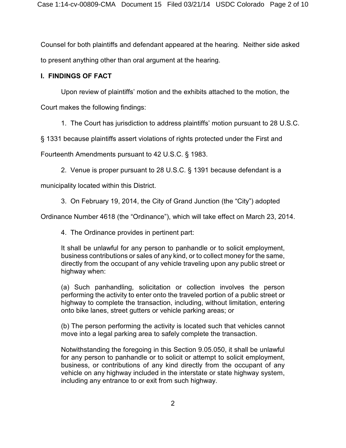Counsel for both plaintiffs and defendant appeared at the hearing. Neither side asked to present anything other than oral argument at the hearing.

## **I. FINDINGS OF FACT**

Upon review of plaintiffs' motion and the exhibits attached to the motion, the

Court makes the following findings:

1. The Court has jurisdiction to address plaintiffs' motion pursuant to 28 U.S.C.

§ 1331 because plaintiffs assert violations of rights protected under the First and

Fourteenth Amendments pursuant to 42 U.S.C. § 1983.

2. Venue is proper pursuant to 28 U.S.C. § 1391 because defendant is a

municipality located within this District.

3. On February 19, 2014, the City of Grand Junction (the "City") adopted

Ordinance Number 4618 (the "Ordinance"), which will take effect on March 23, 2014.

4. The Ordinance provides in pertinent part:

It shall be unlawful for any person to panhandle or to solicit employment, business contributions or sales of any kind, or to collect money for the same, directly from the occupant of any vehicle traveling upon any public street or highway when:

(a) Such panhandling, solicitation or collection involves the person performing the activity to enter onto the traveled portion of a public street or highway to complete the transaction, including, without limitation, entering onto bike lanes, street gutters or vehicle parking areas; or

(b) The person performing the activity is located such that vehicles cannot move into a legal parking area to safely complete the transaction.

Notwithstanding the foregoing in this Section 9.05.050, it shall be unlawful for any person to panhandle or to solicit or attempt to solicit employment, business, or contributions of any kind directly from the occupant of any vehicle on any highway included in the interstate or state highway system, including any entrance to or exit from such highway.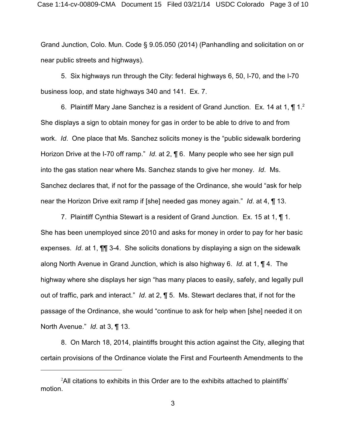Grand Junction, Colo. Mun. Code § 9.05.050 (2014) (Panhandling and solicitation on or near public streets and highways).

5. Six highways run through the City: federal highways 6, 50, I-70, and the I-70 business loop, and state highways 340 and 141. Ex. 7.

6. Plaintiff Mary Jane Sanchez is a resident of Grand Junction. Ex. 14 at 1,  $\P$  1.<sup>2</sup> She displays a sign to obtain money for gas in order to be able to drive to and from work. *Id*. One place that Ms. Sanchez solicits money is the "public sidewalk bordering Horizon Drive at the I-70 off ramp." *Id*. at 2, ¶ 6. Many people who see her sign pull into the gas station near where Ms. Sanchez stands to give her money. *Id*. Ms. Sanchez declares that, if not for the passage of the Ordinance, she would "ask for help near the Horizon Drive exit ramp if [she] needed gas money again." *Id*. at 4, ¶ 13.

7. Plaintiff Cynthia Stewart is a resident of Grand Junction. Ex. 15 at 1, ¶ 1. She has been unemployed since 2010 and asks for money in order to pay for her basic expenses. *Id*. at 1, ¶¶ 3-4. She solicits donations by displaying a sign on the sidewalk along North Avenue in Grand Junction, which is also highway 6. *Id*. at 1, ¶ 4. The highway where she displays her sign "has many places to easily, safely, and legally pull out of traffic, park and interact." *Id*. at 2, ¶ 5. Ms. Stewart declares that, if not for the passage of the Ordinance, she would "continue to ask for help when [she] needed it on North Avenue." *Id*. at 3, ¶ 13.

8. On March 18, 2014, plaintiffs brought this action against the City, alleging that certain provisions of the Ordinance violate the First and Fourteenth Amendments to the

 $^2$ All citations to exhibits in this Order are to the exhibits attached to plaintiffs' motion.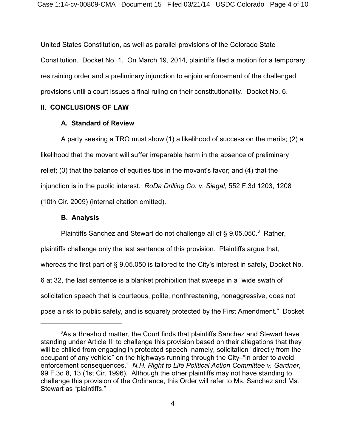United States Constitution, as well as parallel provisions of the Colorado State Constitution. Docket No. 1. On March 19, 2014, plaintiffs filed a motion for a temporary restraining order and a preliminary injunction to enjoin enforcement of the challenged provisions until a court issues a final ruling on their constitutionality. Docket No. 6.

### **II. CONCLUSIONS OF LAW**

#### **A. Standard of Review**

A party seeking a TRO must show (1) a likelihood of success on the merits; (2) a likelihood that the movant will suffer irreparable harm in the absence of preliminary relief; (3) that the balance of equities tips in the movant's favor; and (4) that the injunction is in the public interest. *RoDa Drilling Co. v. Siegal*, 552 F.3d 1203, 1208 (10th Cir. 2009) (internal citation omitted).

### **B. Analysis**

Plaintiffs Sanchez and Stewart do not challenge all of § 9.05.050.<sup>3</sup> Rather, plaintiffs challenge only the last sentence of this provision. Plaintiffs argue that, whereas the first part of § 9.05.050 is tailored to the City's interest in safety, Docket No. 6 at 32, the last sentence is a blanket prohibition that sweeps in a "wide swath of solicitation speech that is courteous, polite, nonthreatening, nonaggressive, does not pose a risk to public safety, and is squarely protected by the First Amendment." Docket

<sup>&</sup>lt;sup>3</sup>As a threshold matter, the Court finds that plaintiffs Sanchez and Stewart have standing under Article III to challenge this provision based on their allegations that they will be chilled from engaging in protected speech–namely, solicitation "directly from the occupant of any vehicle" on the highways running through the City–"in order to avoid enforcement consequences." *N.H. Right to Life Political Action Committee v. Gardner*, 99 F.3d 8, 13 (1st Cir. 1996). Although the other plaintiffs may not have standing to challenge this provision of the Ordinance, this Order will refer to Ms. Sanchez and Ms. Stewart as "plaintiffs."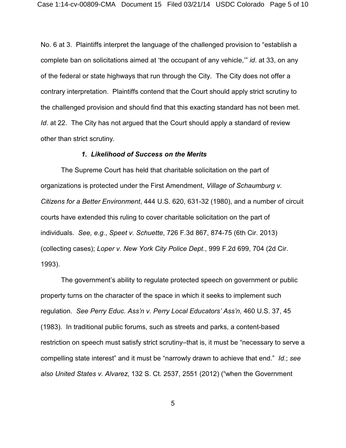No. 6 at 3. Plaintiffs interpret the language of the challenged provision to "establish a complete ban on solicitations aimed at 'the occupant of any vehicle,'" *id*. at 33, on any of the federal or state highways that run through the City. The City does not offer a contrary interpretation. Plaintiffs contend that the Court should apply strict scrutiny to the challenged provision and should find that this exacting standard has not been met. *Id*. at 22. The City has not argued that the Court should apply a standard of review other than strict scrutiny.

#### *1. Likelihood of Success on the Merits*

The Supreme Court has held that charitable solicitation on the part of organizations is protected under the First Amendment, *Village of Schaumburg v. Citizens for a Better Environment*, 444 U.S. 620, 631-32 (1980), and a number of circuit courts have extended this ruling to cover charitable solicitation on the part of individuals. *See, e.g.*, *Speet v. Schuette*, 726 F.3d 867, 874-75 (6th Cir. 2013) (collecting cases); *Loper v. New York City Police Dept.*, 999 F.2d 699, 704 (2d Cir. 1993).

The government's ability to regulate protected speech on government or public property turns on the character of the space in which it seeks to implement such regulation. *See Perry Educ. Ass'n v. Perry Local Educators' Ass'n*, 460 U.S. 37, 45 (1983). In traditional public forums, such as streets and parks, a content-based restriction on speech must satisfy strict scrutiny–that is, it must be "necessary to serve a compelling state interest" and it must be "narrowly drawn to achieve that end." *Id*.; *see also United States v. Alvarez*, 132 S. Ct. 2537, 2551 (2012) ("when the Government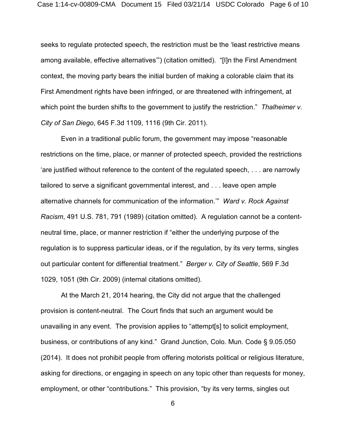seeks to regulate protected speech, the restriction must be the 'least restrictive means among available, effective alternatives'") (citation omitted). "[I]n the First Amendment context, the moving party bears the initial burden of making a colorable claim that its First Amendment rights have been infringed, or are threatened with infringement, at which point the burden shifts to the government to justify the restriction." *Thalheimer v. City of San Diego*, 645 F.3d 1109, 1116 (9th Cir. 2011).

Even in a traditional public forum, the government may impose "reasonable restrictions on the time, place, or manner of protected speech, provided the restrictions 'are justified without reference to the content of the regulated speech, . . . are narrowly tailored to serve a significant governmental interest, and . . . leave open ample alternative channels for communication of the information.'" *Ward v. Rock Against Racism*, 491 U.S. 781, 791 (1989) (citation omitted). A regulation cannot be a contentneutral time, place, or manner restriction if "either the underlying purpose of the regulation is to suppress particular ideas, or if the regulation, by its very terms, singles out particular content for differential treatment." *Berger v. City of Seattle*, 569 F.3d 1029, 1051 (9th Cir. 2009) (internal citations omitted).

At the March 21, 2014 hearing, the City did not argue that the challenged provision is content-neutral. The Court finds that such an argument would be unavailing in any event. The provision applies to "attempt[s] to solicit employment, business, or contributions of any kind." Grand Junction, Colo. Mun. Code § 9.05.050 (2014). It does not prohibit people from offering motorists political or religious literature, asking for directions, or engaging in speech on any topic other than requests for money, employment, or other "contributions." This provision, "by its very terms, singles out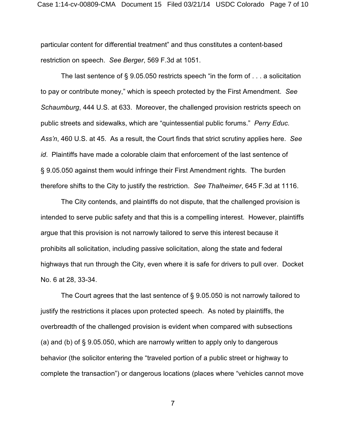particular content for differential treatment" and thus constitutes a content-based restriction on speech. *See Berger*, 569 F.3d at 1051.

The last sentence of  $\S$  9.05.050 restricts speech "in the form of  $\dots$  a solicitation to pay or contribute money," which is speech protected by the First Amendment. *See Schaumburg*, 444 U.S. at 633. Moreover, the challenged provision restricts speech on public streets and sidewalks, which are "quintessential public forums." *Perry Educ. Ass'n*, 460 U.S. at 45. As a result, the Court finds that strict scrutiny applies here. *See id*. Plaintiffs have made a colorable claim that enforcement of the last sentence of § 9.05.050 against them would infringe their First Amendment rights. The burden therefore shifts to the City to justify the restriction. *See Thalheimer*, 645 F.3d at 1116.

The City contends, and plaintiffs do not dispute, that the challenged provision is intended to serve public safety and that this is a compelling interest. However, plaintiffs argue that this provision is not narrowly tailored to serve this interest because it prohibits all solicitation, including passive solicitation, along the state and federal highways that run through the City, even where it is safe for drivers to pull over. Docket No. 6 at 28, 33-34.

The Court agrees that the last sentence of § 9.05.050 is not narrowly tailored to justify the restrictions it places upon protected speech. As noted by plaintiffs, the overbreadth of the challenged provision is evident when compared with subsections (a) and (b) of § 9.05.050, which are narrowly written to apply only to dangerous behavior (the solicitor entering the "traveled portion of a public street or highway to complete the transaction") or dangerous locations (places where "vehicles cannot move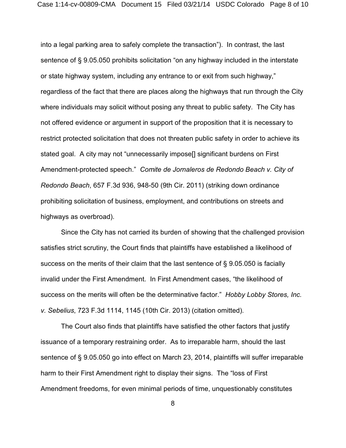into a legal parking area to safely complete the transaction"). In contrast, the last sentence of § 9.05.050 prohibits solicitation "on any highway included in the interstate or state highway system, including any entrance to or exit from such highway," regardless of the fact that there are places along the highways that run through the City where individuals may solicit without posing any threat to public safety. The City has not offered evidence or argument in support of the proposition that it is necessary to restrict protected solicitation that does not threaten public safety in order to achieve its stated goal. A city may not "unnecessarily impose[] significant burdens on First Amendment-protected speech." *Comite de Jornaleros de Redondo Beach v. City of Redondo Beach*, 657 F.3d 936, 948-50 (9th Cir. 2011) (striking down ordinance prohibiting solicitation of business, employment, and contributions on streets and highways as overbroad).

Since the City has not carried its burden of showing that the challenged provision satisfies strict scrutiny, the Court finds that plaintiffs have established a likelihood of success on the merits of their claim that the last sentence of § 9.05.050 is facially invalid under the First Amendment. In First Amendment cases, "the likelihood of success on the merits will often be the determinative factor." *Hobby Lobby Stores, Inc. v. Sebelius*, 723 F.3d 1114, 1145 (10th Cir. 2013) (citation omitted).

The Court also finds that plaintiffs have satisfied the other factors that justify issuance of a temporary restraining order. As to irreparable harm, should the last sentence of § 9.05.050 go into effect on March 23, 2014, plaintiffs will suffer irreparable harm to their First Amendment right to display their signs. The "loss of First Amendment freedoms, for even minimal periods of time, unquestionably constitutes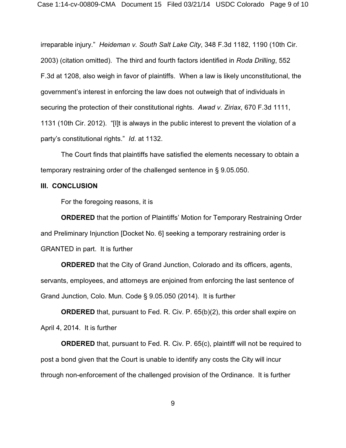irreparable injury." *Heideman v. South Salt Lake City*, 348 F.3d 1182, 1190 (10th Cir. 2003) (citation omitted). The third and fourth factors identified in *Roda Drilling*, 552 F.3d at 1208, also weigh in favor of plaintiffs. When a law is likely unconstitutional, the government's interest in enforcing the law does not outweigh that of individuals in securing the protection of their constitutional rights. *Awad v. Ziriax*, 670 F.3d 1111, 1131 (10th Cir. 2012). "[I]t is always in the public interest to prevent the violation of a party's constitutional rights." *Id*. at 1132.

The Court finds that plaintiffs have satisfied the elements necessary to obtain a temporary restraining order of the challenged sentence in § 9.05.050.

#### **III. CONCLUSION**

For the foregoing reasons, it is

**ORDERED** that the portion of Plaintiffs' Motion for Temporary Restraining Order and Preliminary Injunction [Docket No. 6] seeking a temporary restraining order is GRANTED in part. It is further

**ORDERED** that the City of Grand Junction, Colorado and its officers, agents, servants, employees, and attorneys are enjoined from enforcing the last sentence of Grand Junction, Colo. Mun. Code § 9.05.050 (2014). It is further

**ORDERED** that, pursuant to Fed. R. Civ. P. 65(b)(2), this order shall expire on April 4, 2014. It is further

**ORDERED** that, pursuant to Fed. R. Civ. P. 65(c), plaintiff will not be required to post a bond given that the Court is unable to identify any costs the City will incur through non-enforcement of the challenged provision of the Ordinance. It is further